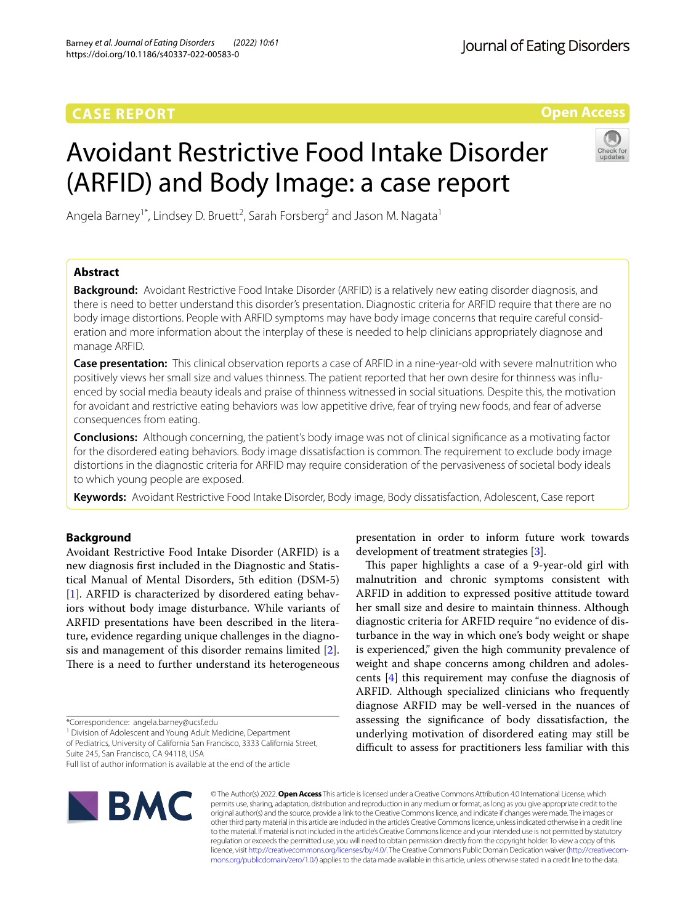## **CASE REPORT**

**Open Access**

# Avoidant Restrictive Food Intake Disorder (ARFID) and Body Image: a case report



Angela Barney<sup>1\*</sup>, Lindsey D. Bruett<sup>2</sup>, Sarah Forsberg<sup>2</sup> and Jason M. Nagata<sup>1</sup>

## **Abstract**

**Background:** Avoidant Restrictive Food Intake Disorder (ARFID) is a relatively new eating disorder diagnosis, and there is need to better understand this disorder's presentation. Diagnostic criteria for ARFID require that there are no body image distortions. People with ARFID symptoms may have body image concerns that require careful consideration and more information about the interplay of these is needed to help clinicians appropriately diagnose and manage ARFID.

**Case presentation:** This clinical observation reports a case of ARFID in a nine-year-old with severe malnutrition who positively views her small size and values thinness. The patient reported that her own desire for thinness was infuenced by social media beauty ideals and praise of thinness witnessed in social situations. Despite this, the motivation for avoidant and restrictive eating behaviors was low appetitive drive, fear of trying new foods, and fear of adverse consequences from eating.

**Conclusions:** Although concerning, the patient's body image was not of clinical signifcance as a motivating factor for the disordered eating behaviors. Body image dissatisfaction is common. The requirement to exclude body image distortions in the diagnostic criteria for ARFID may require consideration of the pervasiveness of societal body ideals to which young people are exposed.

**Keywords:** Avoidant Restrictive Food Intake Disorder, Body image, Body dissatisfaction, Adolescent, Case report

## **Background**

Avoidant Restrictive Food Intake Disorder (ARFID) is a new diagnosis frst included in the Diagnostic and Statistical Manual of Mental Disorders, 5th edition (DSM-5) [[1\]](#page-2-0). ARFID is characterized by disordered eating behaviors without body image disturbance. While variants of ARFID presentations have been described in the literature, evidence regarding unique challenges in the diagnosis and management of this disorder remains limited [\[2](#page-2-1)]. There is a need to further understand its heterogeneous

\*Correspondence: angela.barney@ucsf.edu

<sup>1</sup> Division of Adolescent and Young Adult Medicine, Department

of Pediatrics, University of California San Francisco, 3333 California Street, Suite 245, San Francisco, CA 94118, USA

Full list of author information is available at the end of the article



© The Author(s) 2022. **Open Access** This article is licensed under a Creative Commons Attribution 4.0 International License, which permits use, sharing, adaptation, distribution and reproduction in any medium or format, as long as you give appropriate credit to the original author(s) and the source, provide a link to the Creative Commons licence, and indicate if changes were made. The images or other third party material in this article are included in the article's Creative Commons licence, unless indicated otherwise in a credit line to the material. If material is not included in the article's Creative Commons licence and your intended use is not permitted by statutory regulation or exceeds the permitted use, you will need to obtain permission directly from the copyright holder. To view a copy of this licence, visit [http://creativecommons.org/licenses/by/4.0/.](http://creativecommons.org/licenses/by/4.0/) The Creative Commons Public Domain Dedication waiver ([http://creativecom](http://creativecommons.org/publicdomain/zero/1.0/)[mons.org/publicdomain/zero/1.0/\)](http://creativecommons.org/publicdomain/zero/1.0/) applies to the data made available in this article, unless otherwise stated in a credit line to the data.

presentation in order to inform future work towards development of treatment strategies [\[3](#page-2-2)].

This paper highlights a case of a 9-year-old girl with malnutrition and chronic symptoms consistent with ARFID in addition to expressed positive attitude toward her small size and desire to maintain thinness. Although diagnostic criteria for ARFID require "no evidence of disturbance in the way in which one's body weight or shape is experienced," given the high community prevalence of weight and shape concerns among children and adolescents [[4\]](#page-2-3) this requirement may confuse the diagnosis of ARFID. Although specialized clinicians who frequently diagnose ARFID may be well-versed in the nuances of assessing the signifcance of body dissatisfaction, the underlying motivation of disordered eating may still be difficult to assess for practitioners less familiar with this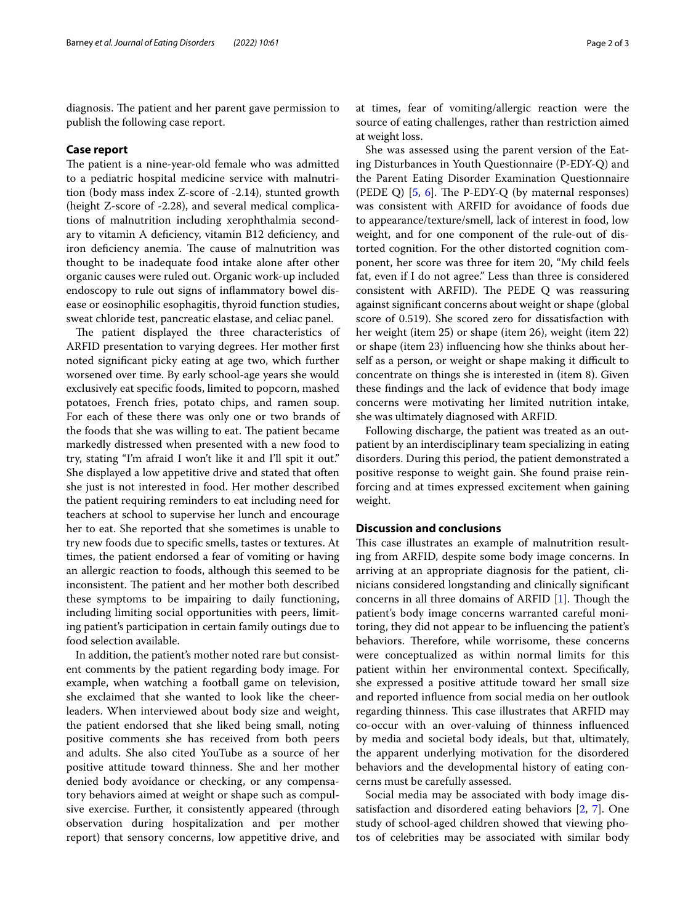diagnosis. The patient and her parent gave permission to publish the following case report.

## **Case report**

The patient is a nine-year-old female who was admitted to a pediatric hospital medicine service with malnutrition (body mass index Z-score of -2.14), stunted growth (height Z-score of -2.28), and several medical complications of malnutrition including xerophthalmia secondary to vitamin A deficiency, vitamin B12 deficiency, and iron deficiency anemia. The cause of malnutrition was thought to be inadequate food intake alone after other organic causes were ruled out. Organic work-up included endoscopy to rule out signs of infammatory bowel disease or eosinophilic esophagitis, thyroid function studies, sweat chloride test, pancreatic elastase, and celiac panel.

The patient displayed the three characteristics of ARFID presentation to varying degrees. Her mother frst noted signifcant picky eating at age two, which further worsened over time. By early school-age years she would exclusively eat specifc foods, limited to popcorn, mashed potatoes, French fries, potato chips, and ramen soup. For each of these there was only one or two brands of the foods that she was willing to eat. The patient became markedly distressed when presented with a new food to try, stating "I'm afraid I won't like it and I'll spit it out." She displayed a low appetitive drive and stated that often she just is not interested in food. Her mother described the patient requiring reminders to eat including need for teachers at school to supervise her lunch and encourage her to eat. She reported that she sometimes is unable to try new foods due to specifc smells, tastes or textures. At times, the patient endorsed a fear of vomiting or having an allergic reaction to foods, although this seemed to be inconsistent. The patient and her mother both described these symptoms to be impairing to daily functioning, including limiting social opportunities with peers, limiting patient's participation in certain family outings due to food selection available.

In addition, the patient's mother noted rare but consistent comments by the patient regarding body image. For example, when watching a football game on television, she exclaimed that she wanted to look like the cheerleaders. When interviewed about body size and weight, the patient endorsed that she liked being small, noting positive comments she has received from both peers and adults. She also cited YouTube as a source of her positive attitude toward thinness. She and her mother denied body avoidance or checking, or any compensatory behaviors aimed at weight or shape such as compulsive exercise. Further, it consistently appeared (through observation during hospitalization and per mother report) that sensory concerns, low appetitive drive, and at times, fear of vomiting/allergic reaction were the source of eating challenges, rather than restriction aimed at weight loss.

She was assessed using the parent version of the Eating Disturbances in Youth Questionnaire (P-EDY-Q) and the Parent Eating Disorder Examination Questionnaire (PEDE Q)  $[5, 6]$  $[5, 6]$  $[5, 6]$  $[5, 6]$ . The P-EDY-Q (by maternal responses) was consistent with ARFID for avoidance of foods due to appearance/texture/smell, lack of interest in food, low weight, and for one component of the rule-out of distorted cognition. For the other distorted cognition component, her score was three for item 20, "My child feels fat, even if I do not agree." Less than three is considered consistent with ARFID). The PEDE  $Q$  was reassuring against signifcant concerns about weight or shape (global score of 0.519). She scored zero for dissatisfaction with her weight (item 25) or shape (item 26), weight (item 22) or shape (item 23) infuencing how she thinks about herself as a person, or weight or shape making it difficult to concentrate on things she is interested in (item 8). Given these fndings and the lack of evidence that body image concerns were motivating her limited nutrition intake, she was ultimately diagnosed with ARFID.

Following discharge, the patient was treated as an outpatient by an interdisciplinary team specializing in eating disorders. During this period, the patient demonstrated a positive response to weight gain. She found praise reinforcing and at times expressed excitement when gaining weight.

## **Discussion and conclusions**

This case illustrates an example of malnutrition resulting from ARFID, despite some body image concerns. In arriving at an appropriate diagnosis for the patient, clinicians considered longstanding and clinically signifcant concerns in all three domains of ARFID  $[1]$  $[1]$ . Though the patient's body image concerns warranted careful monitoring, they did not appear to be infuencing the patient's behaviors. Therefore, while worrisome, these concerns were conceptualized as within normal limits for this patient within her environmental context. Specifcally, she expressed a positive attitude toward her small size and reported infuence from social media on her outlook regarding thinness. This case illustrates that ARFID may co-occur with an over-valuing of thinness infuenced by media and societal body ideals, but that, ultimately, the apparent underlying motivation for the disordered behaviors and the developmental history of eating concerns must be carefully assessed.

Social media may be associated with body image dissatisfaction and disordered eating behaviors [\[2](#page-2-1), [7\]](#page-2-6). One study of school-aged children showed that viewing photos of celebrities may be associated with similar body